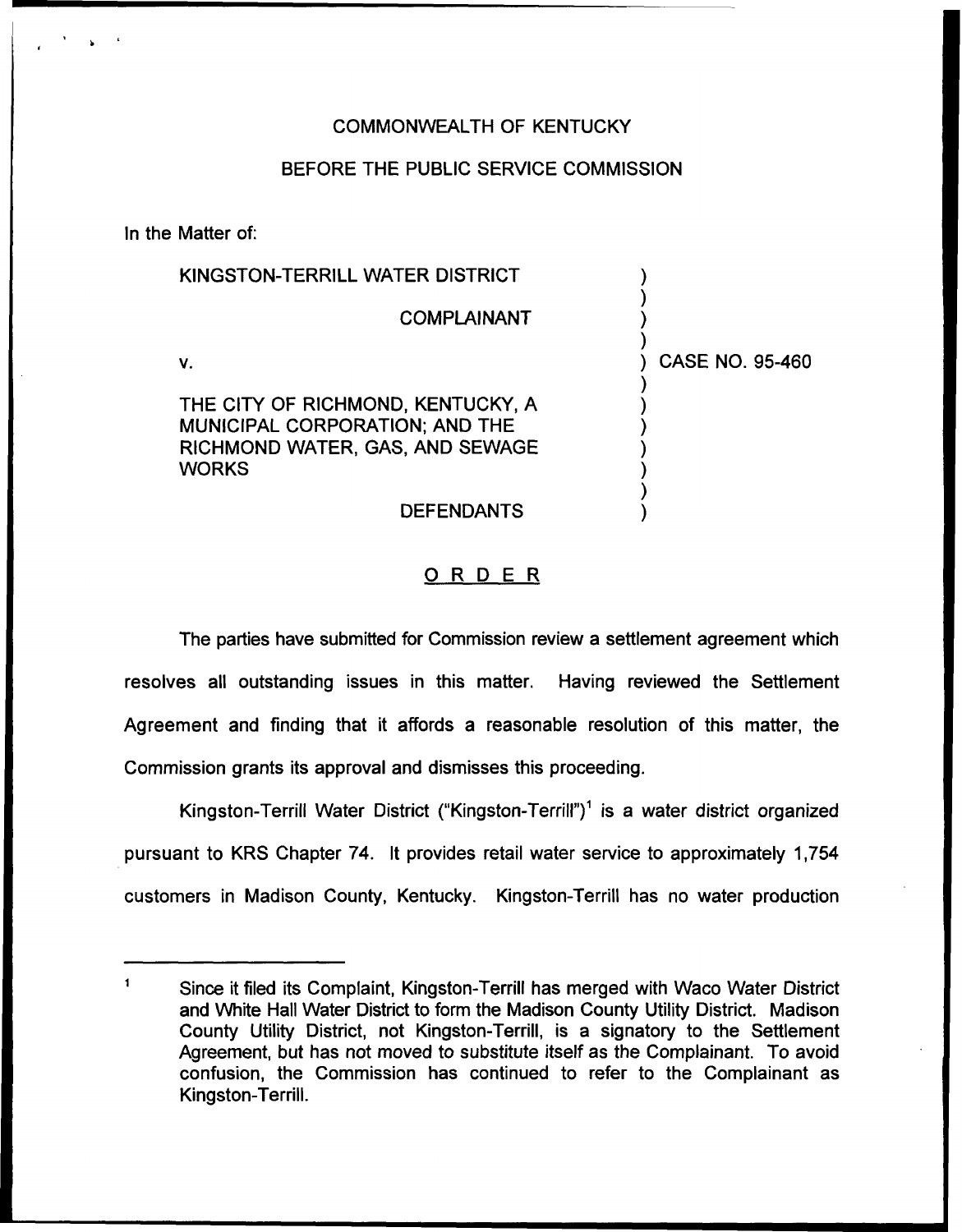## COMMONWEALTH OF KENTUCKY

### BEFORE THE PUBLIC SERVICE COMMISSION

In the Matter of:

| KINGSTON-TERRILL WATER DISTRICT                                                                                               |                 |
|-------------------------------------------------------------------------------------------------------------------------------|-----------------|
| <b>COMPLAINANT</b>                                                                                                            |                 |
| V.                                                                                                                            | CASE NO. 95-460 |
| THE CITY OF RICHMOND, KENTUCKY, A<br><b>MUNICIPAL CORPORATION; AND THE</b><br>RICHMOND WATER, GAS, AND SEWAGE<br><b>WORKS</b> |                 |
| <b>DEFENDANTS</b>                                                                                                             |                 |

## ORDER

The parties have submitted for Commission review a settlement agreement which resolves all outstanding issues in this matter. Having reviewed the Settlement Agreement and finding that it affords a reasonable resolution of this matter, the Commission grants its approval and dismisses this proceeding.

Kingston-Terrill Water District ("Kingston-Terrill")" is a water district organized pursuant to KRS Chapter 74. It provides retail water service to approximately 1,754 customers in Madison County, Kentucky. Kingston-Terrill has no water production

 $\mathbf{1}$ Since it filed its Complaint, Kingston-Terrill has merged with Waco Water District and White Hall Water District to form the Madison County Utility District. Madison County Utility District, not Kingston-Terrill, is a signatory to the Settlement Agreement, but has not moved to substitute itself as the Complainant. To avoid confusion, the Commission has continued to refer to the Complainant as Kingston-Terrill.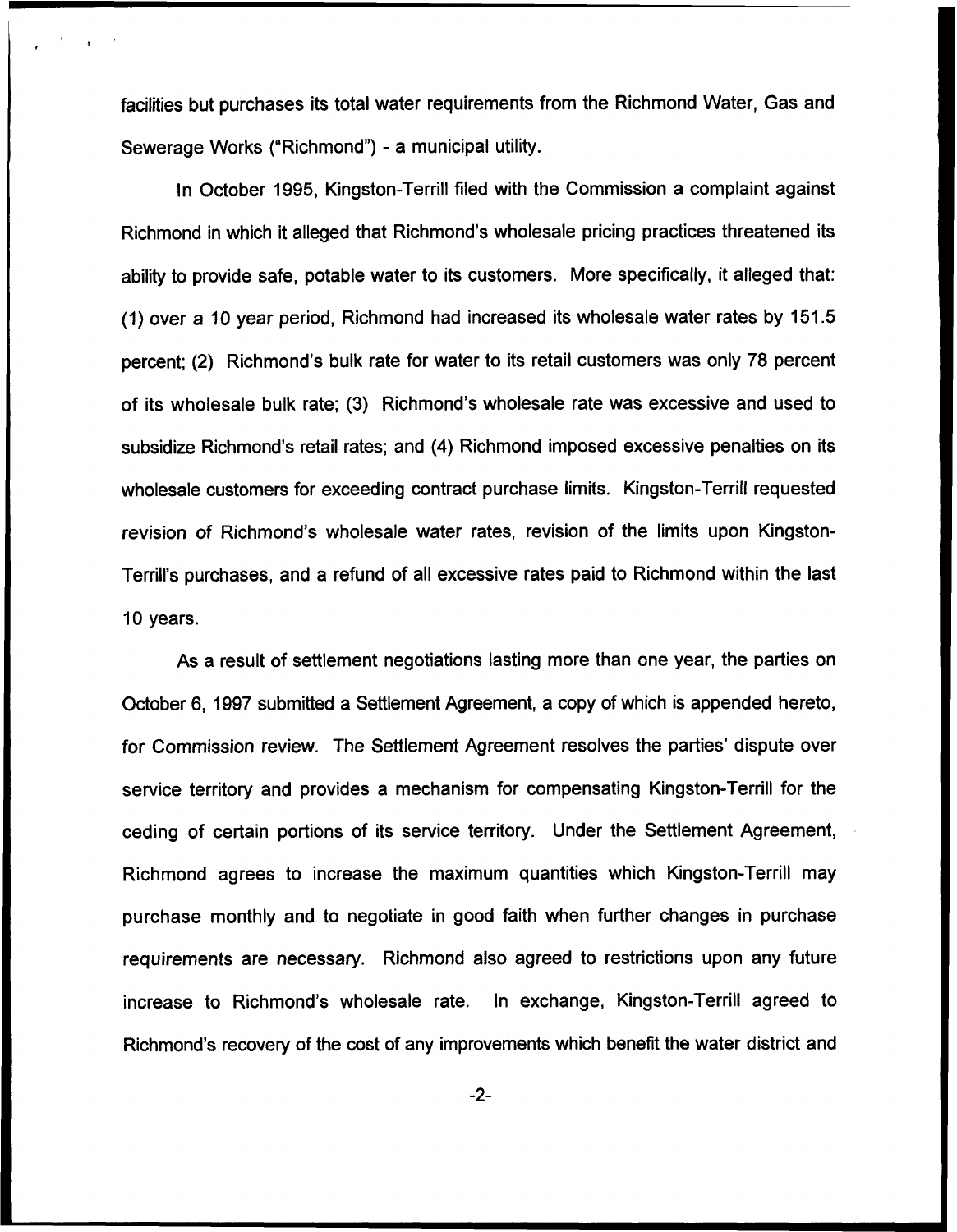facilities but purchases its total water requirements from the Richmond Water, Gas and Sewerage Works ("Richmond") - a municipal utility

In October 1995, Kingston-Terrill filed with the Commission a complaint against Richmond in which it alleged that Richmond's wholesale pricing practices threatened its ability to provide safe, potable water to its customers. More specifically, it alleged that: (1) over a 10 year period, Richmond had increased its wholesale water rates by 151.5 percent; (2) Richmond's bulk rate for water to its retail customers was only 78 percent of its wholesale bulk rate; (3) Richmond's wholesale rate was excessive and used to subsidize Richmond's retail rates; and (4) Richmond imposed excessive penalties on its wholesale customers for exceeding contract purchase limits. Kingston-Terrill requested revision of Richmond's wholesale water rates, revision of the limits upon Kingston-Terrill's purchases, and a refund of all excessive rates paid to Richmond within the last 10 years.

As a result of settlement negotiations lasting more than one year, the parties on October 6, 1997 submitted a Settlement Agreement, a copy of which is appended hereto, for Commission review. The Settlement Agreement resolves the parties' dispute over service territory and provides a mechanism for compensating Kingston-Terrill for the ceding of certain portions of its service territory. Under the Settlement Agreement, Richmond agrees to increase the maximum quantities which Kingston-Terrill may purchase monthly and to negotiate in good faith when further changes in purchase requirements are necessary. Richmond also agreed to restrictions upon any future increase to Richmond's wholesale rate. In exchange, Kingston-Terrill agreed to Richmond's recovery of the cost of any improvements which benefit the water district and

 $-2-$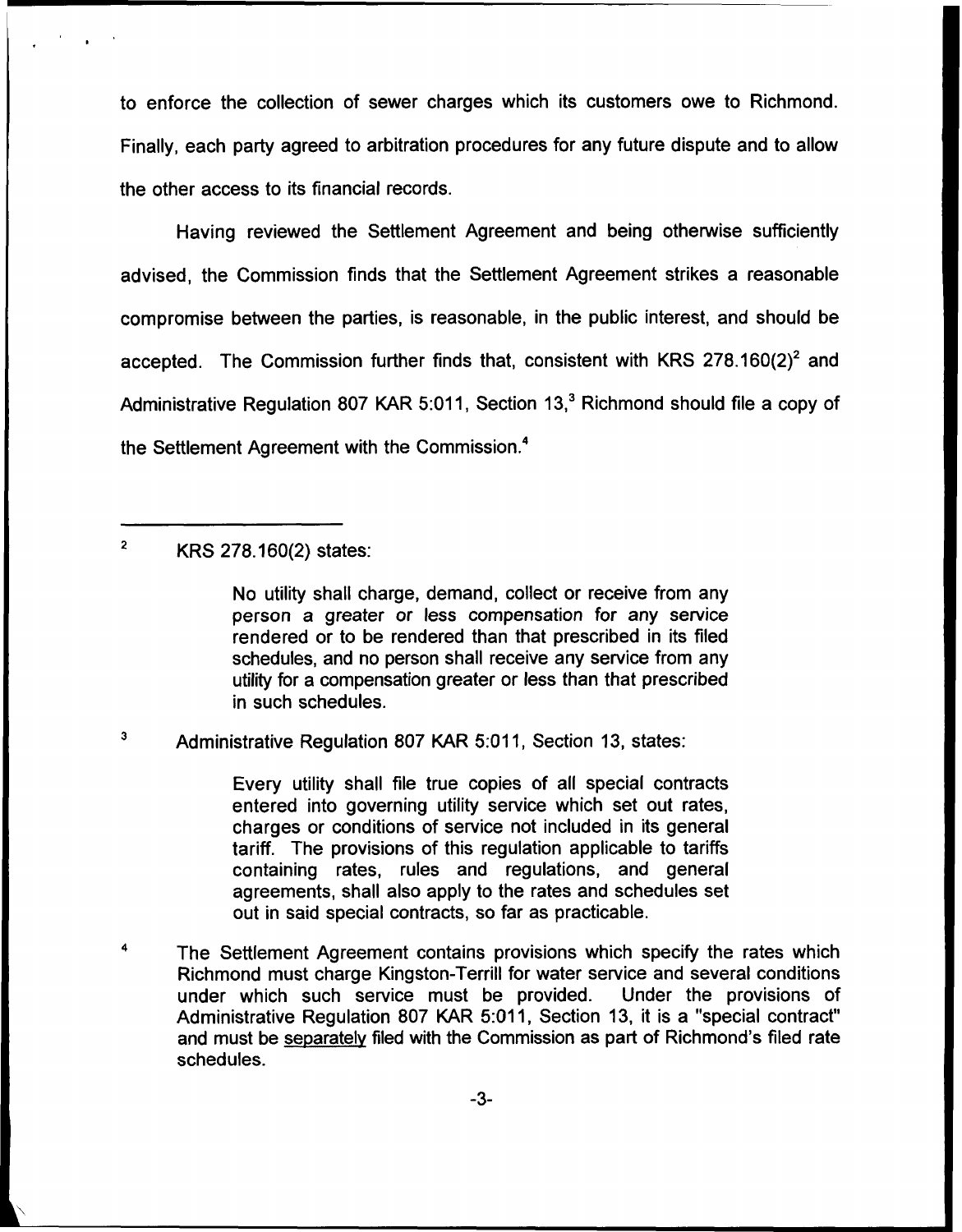to enforce the collection of sewer charges which its customers owe to Richmond. Finally, each party agreed to arbitration procedures for any future dispute and to allow the other access to its financial records.

Having reviewed the Settlement Agreement and being otherwise sufficiently advised, the Commission finds that the Settlement Agreement strikes a reasonable compromise between the parties, is reasonable, in the public interest, and should be accepted. The Commission further finds that, consistent with KRS  $278.160(2)^2$  and Administrative Regulation 807 KAR 5:011, Section 13,<sup>3</sup> Richmond should file a copy of the Settlement Agreement with the Commission.<sup>4</sup>

 $\overline{\mathbf{2}}$ KRS 278.160(2) states:

> No utility shall charge, demand, collect or receive from any person a greater or less compensation for any service rendered or to be rendered than that prescribed in its filed schedules, and no person shall receive any service from any utility for a compensation greater or less than that prescribed in such schedules.

 $\mathbf{3}$ Administrative Regulation 807 KAR 5:011, Section 13, states:

> Every utility shall file true copies of all special contracts entered into governing utility service which set out rates, charges or conditions of service not included in its general tariff. The provisions of this regulation applicable to tariffs containing rates, rules and regulations, and general agreements, shall also apply to the rates and schedules set out in said special contracts, so far as practicable.

4 The Settlement Agreement contains provisions which specify the rates which Richmond must charge Kingston-Terrill for water service and several conditions under which such service must be provided. Under the provisions of Administrative Regulation 807 KAR 5:011, Section 13, it is a "special contract" and must be separatelv filed with the Commission as part of Richmond's filed rate schedules.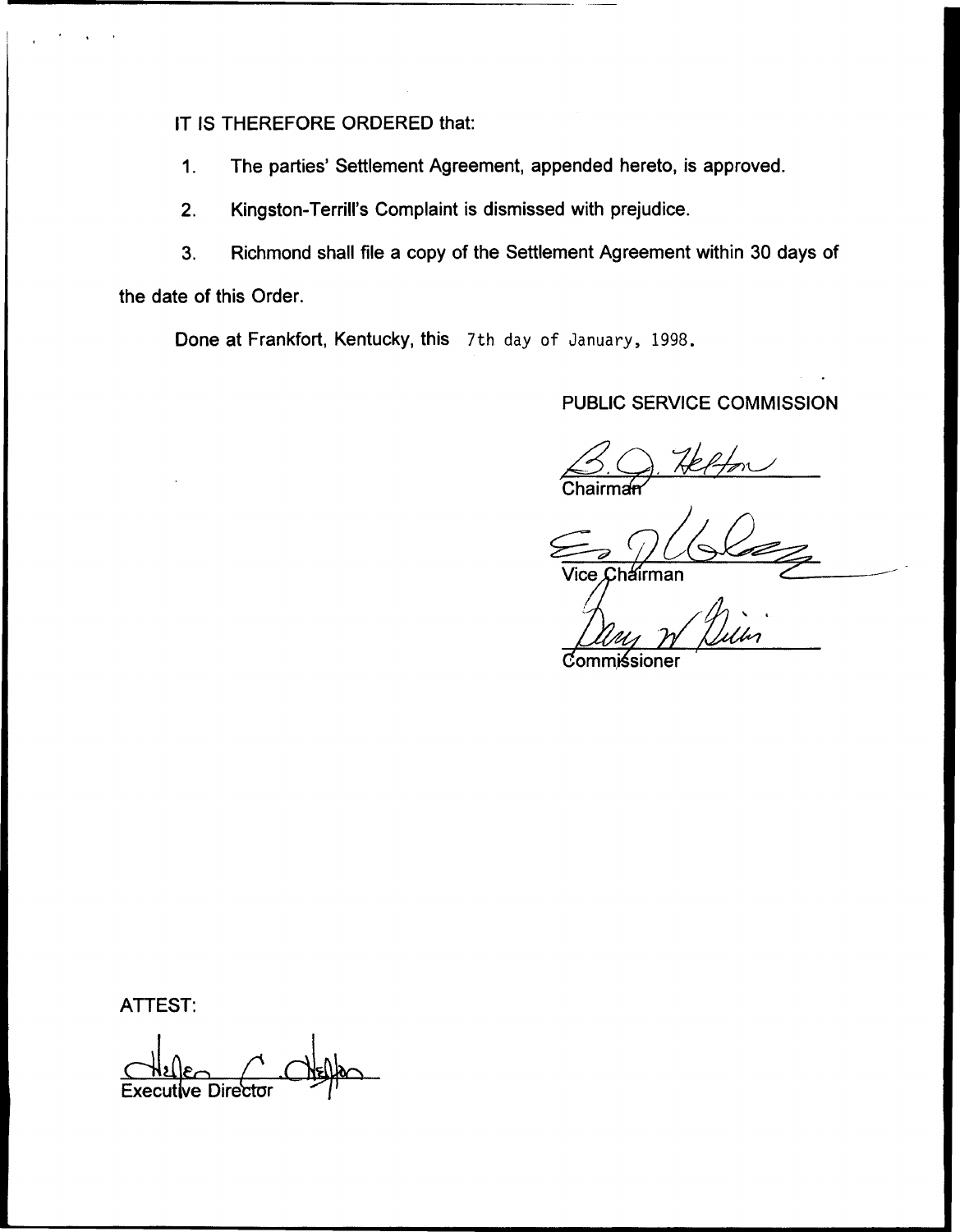IT IS THEREFORE ORDERED that:

1. The parties' Settlement Agreement, appended hereto, is approved.

2. Kingston-Terrill's Complaint is dismissed with prejudice.

3. Richmond shall file a copy of the Settlement Agreement within 30 days of the date of this Order.

Done at Frankfort, Kentucky, this 7th day of January, 1998.

# PUBLIC SERVICE COMMISSION

man *J*ice

ommiśsioner

ATTEST:

 $\frac{1}{\sqrt{2}}$ Executive Directo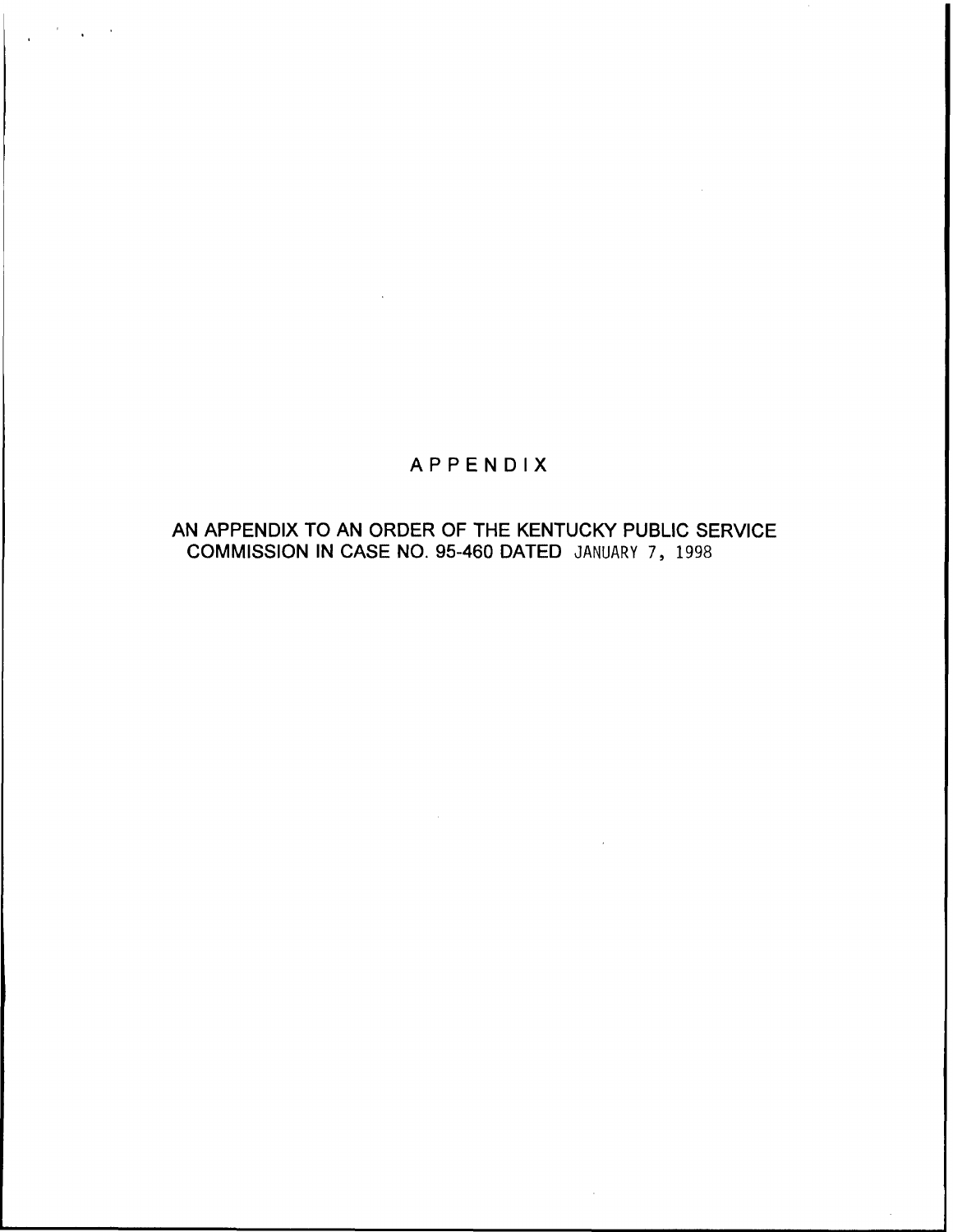# APPENDIX

## AN APPENDIX TO AN ORDER OF THE KENTUCKY PUBLIC SERVICE COMMISSION IN CASE NO. 95-460 DATED JANUARY 7, 1998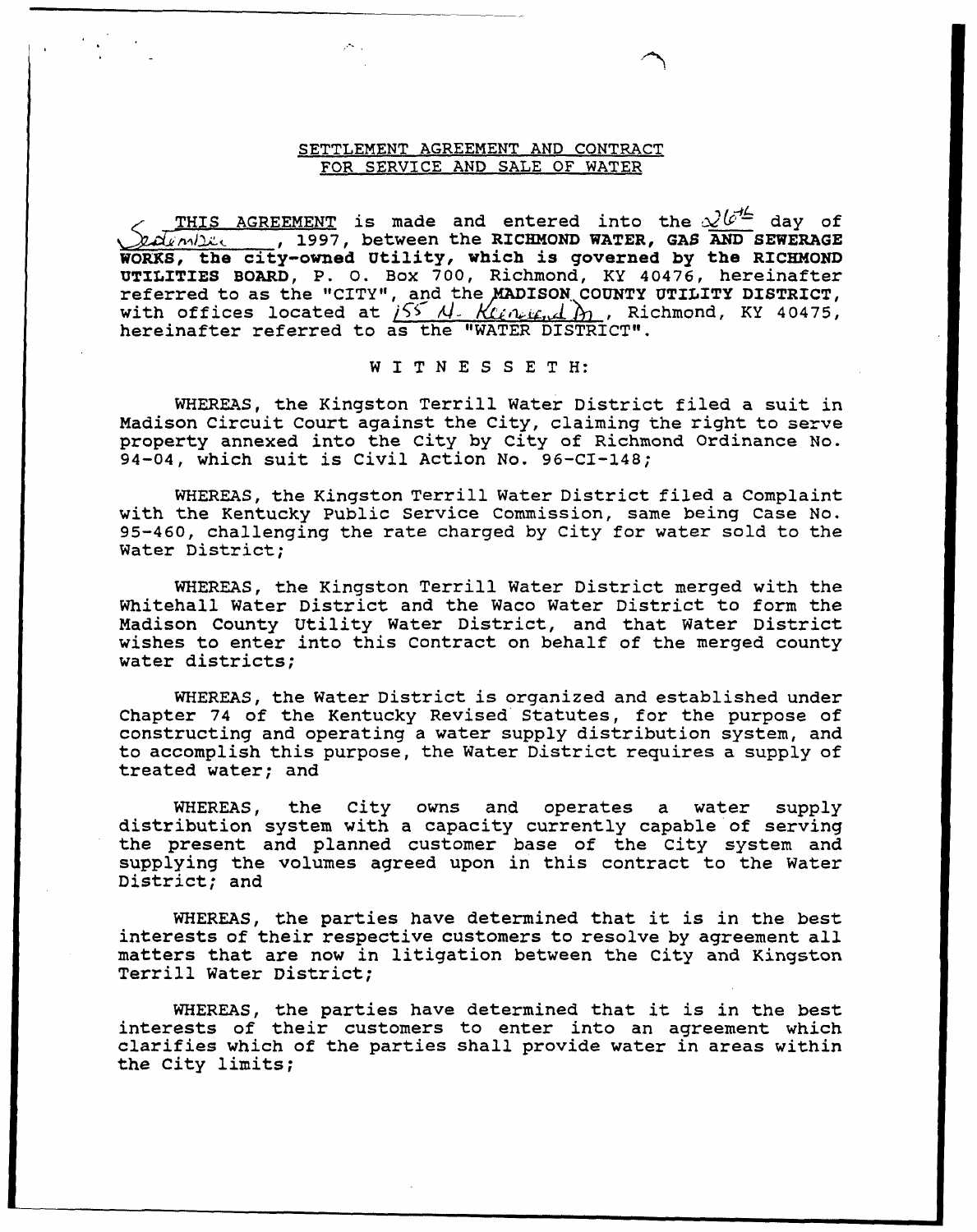#### SETTLEMENT AGREEMENT AND CONTRACT FOR SERVICE AND SALE OF WATER

 $\mathcal{F}^{(n)}$  .

THIS AGREEMENT is made and entered into the  $\mathcal{L}^{jet}$  day of not provide the RICHMOND WATER, GAS AND SEWERAGE WORKS, the city-owned Utility, which is governed by the RICHMOND UTILITIES BOARD, P. O. Box 700, Richmond, KY 40476, hereinafter referred to as the "CITY", and the MADISON COUNTY UTILITY DISTRICT, with offices located at  $i55 M - K(\ell n + 1)$ , Richmond, KY 40475, hereinafter referred to as the "WATER DISTRICT".

#### <sup>W</sup> I <sup>T</sup> <sup>N</sup> <sup>E</sup> <sup>S</sup> <sup>S</sup> <sup>E</sup> <sup>T</sup> <sup>H</sup>

WHEREAS, the Kingston Terrill Water District filed a suit in Madison Circuit Court against the City, claiming the right to serve property annexed into the City by City of Richmond Ordinance No. 94-04, vhich suit is Civil Action No. 96-CI-148;

WHEREAS, the Kingston Terrill Water District filed a Complaint with the Kentucky Public Service Commission, same being Case No. 95-460, challenging the rate charged by City for water sold to the Water District;

WHEREAS, the Kingston Terrill Water District merged vith the Whitehall Water District and the Waco Nater District to form the Madison County Utility Water District, and that Water District wishes to enter into this Contract on behalf of the merged county vater districts;

WHEREAS, the Water District is organized and established under Chapter 74 of the Kentucky Revised Statutes, for the purpose of constructing and operating a vater supply distribution system, and to accomplish this purpose, the Water District requires a supply of treated vater; and

WHEREAS, the City ovns and operates <sup>a</sup> water supply distribution system with <sup>a</sup> capacity currently capable of serving the present and planned customer base of the City system and supplying the volumes agreed upon in this contract to the Water District; and

WHEREAS, the parties have determined that it is in the best interests of their respective customers to resolve by agreement all matters that are now in litigation betveen the City and Kingston Terrill Water District;

WHEREAS, the parties have determined that it is in the best interests of their customers to enter into an agreement which clarifies vhich of the parties shall provide vater in areas within the City limits;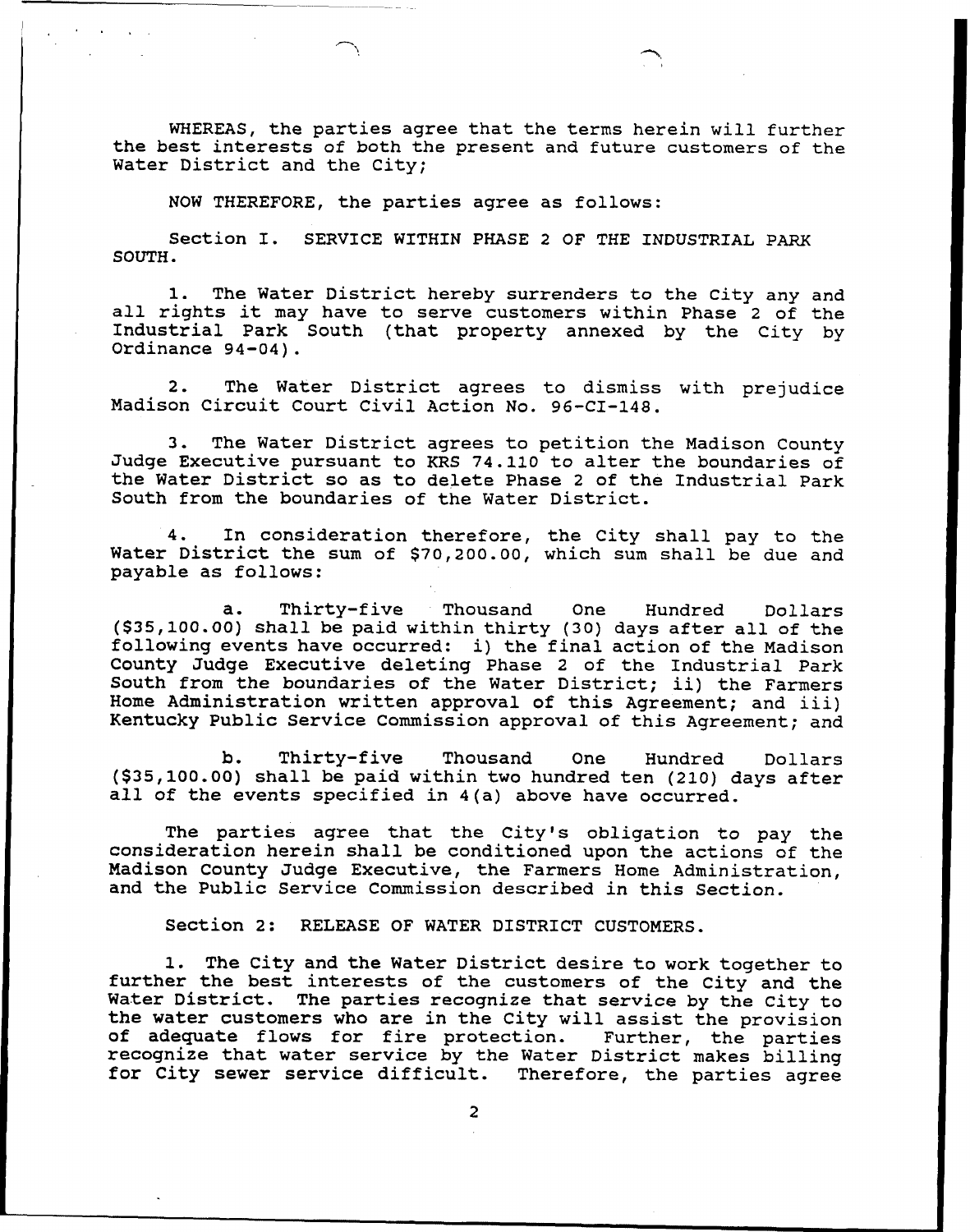WHEREAS, the parties agree that the terms herein will further the best interests of both the present and future customers of the Water District and the City;

NON THEREFORE, the parties agree as follows:

Section I. SERVICE WITHIN PHASE <sup>2</sup> OF THE INDUSTRIAL PARK SOUTH.

1. The Water District hereby surrenders to the City any and all rights it may have to serve customers within Phase <sup>2</sup> of the Industrial Park South (that property annexed by the City by Ordinance 94-04).

2. The Water District agrees to dismiss with prejudice Madison Circuit Court Civil Action No. 96-CI-148.

3. The Water District agrees to petition the Madison County Judge Executive pursuant to KRS 74.110 to alter the boundaries of the Water District so as to delete Phase <sup>2</sup> of the Industrial Park South from the boundaries of the Water District.

4. In consideration therefore, the City shall pay to the Water District the sum of \$70,200.00, which sum shall be due and payable as follows:

a. Thirty-five Thousand One Hundred Dollars (\$35,100.00) shall be paid within thirty (30) days after all of the following events have occurred: i) the final action of the Madison County Judge Executive deleting Phase <sup>2</sup> of the Industrial Park South from the boundaries of the Water District; ii) the Farmers Home Administration written approval of this Agreement; and iii) Kentucky Public Service Commission approval of this Agreement; and

b. Thirty-five Thousand One Hundred Dollar (\$35,100.00) shall be paid within two hundred ten (210) days after all of the events specified in 4(a) above have occurred.

The parties agree that the City's obligation to pay the consideration herein shall be conditioned upon the actions of the Madison County Judge Executive, the Farmers Home Administration, and the Public Service Commission described in this Section.

Section 2: RELEASE OF WATER DISTRICT CUSTOMERS.

1. The City and the Water District desire to work together to further the best interests of the customers of the City and the Water District. The parties recognize that service by the City to the water customers who are in the City will assist the provision<br>of adequate flows for fire protection. Further, the parties<br>recognize that water service by the Water District makes billing<br>for City sewer service difficul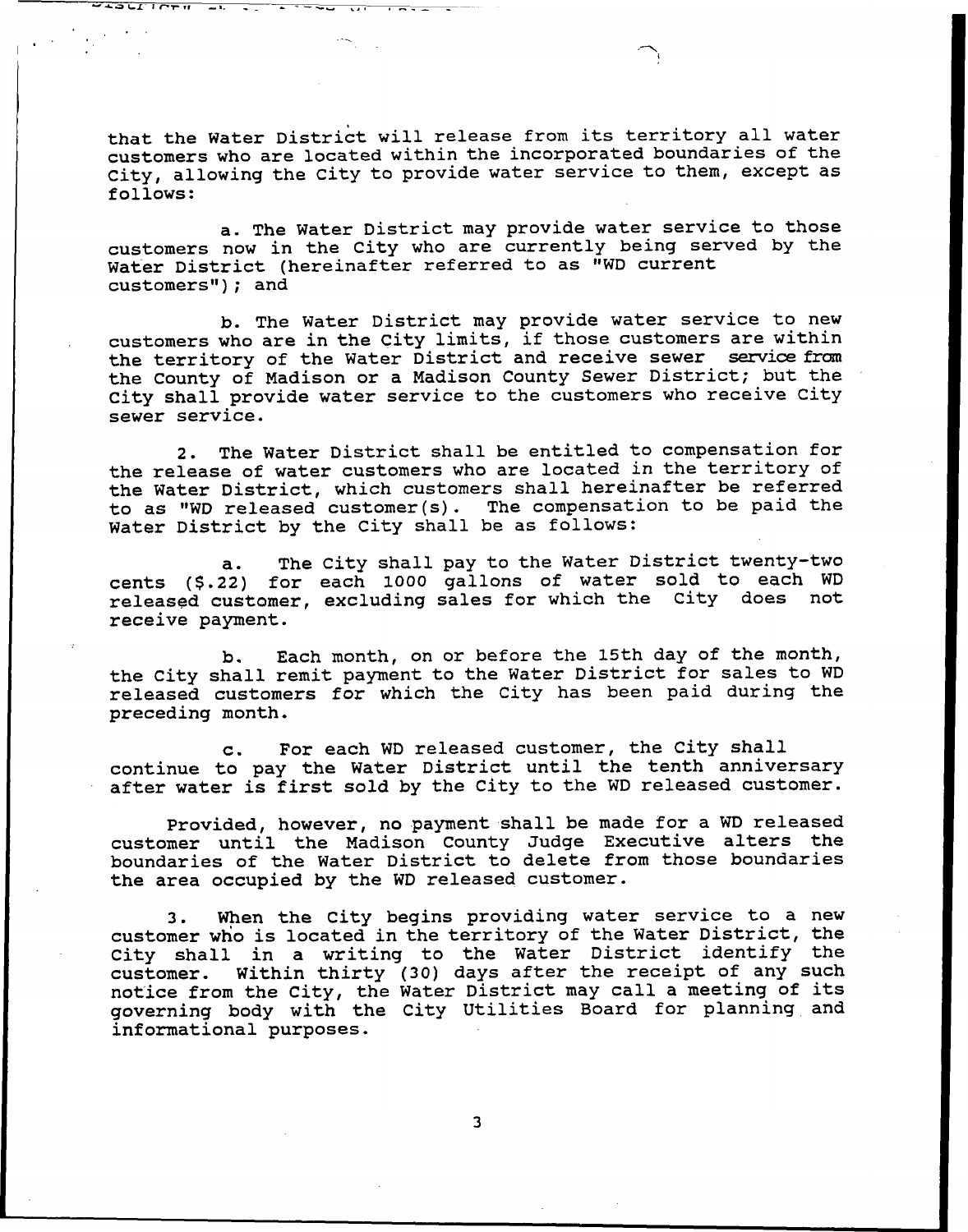that the Water District will release from its territory all water customers who are located within the incorporated boundaries of the City, allowing the City to provide water service to them, except as follows:

 $\frac{1}{2}$   $\frac{1}{2}$   $\frac{1}{2}$   $\frac{1}{2}$   $\frac{1}{2}$   $\frac{1}{2}$   $\frac{1}{2}$   $\frac{1}{2}$   $\frac{1}{2}$   $\frac{1}{2}$ 

a. The Water District may provide water service to those customers now in the City who are currently being served by the Water District (hereinafter referred to as "WD current customers"); and

b. The Water District may provide water service to new customers who are in the City limits, if those customers are within the territory of the Water District and receive sewer service from the County of Madison or a Madison County Sewer District; but the City shall provide water service to the customers who receive City sewer service.

2. The Water District shall be entitled to compensation for the release of water customers who are located in the territory of the Water District, which customers shall hereinafter be referred to as "WD released customex(s). The compensation to be paid the Water District by the City shall be as follows:

a. The City shall pay to the Water District twenty-two cents (\$.22) for each 1000 gallons of water sold to each WD released customer, excluding sales for which the City does not receive payment.

b. Each month, on or before the 15th day of the month, the City shall remit. payment to the Water District for sales to WD released customers for which the City has been paid during the preceding month.

c. For each WD released customer, the City shall continue to pay the Water District until the tenth anniversary after water is first sold by the City to the WD released customer.

Provided, however, no payment shall be made for a WD released customer until the Madison County Judge Executive alters the boundaries of the Water District to delete from those boundaries the area occupied by the WD released customer.

3. When the City begins providing water service to a new customer who is located in the territory of the Water District, the City shall in a writing to the Water District identify the customer. Within thirty (30) days after the receipt of any such notice from the City, the Water District may call <sup>a</sup> meeting of its governing body with the City Utilities Board for planning and informational purposes.

 $\overline{\mathbf{3}}$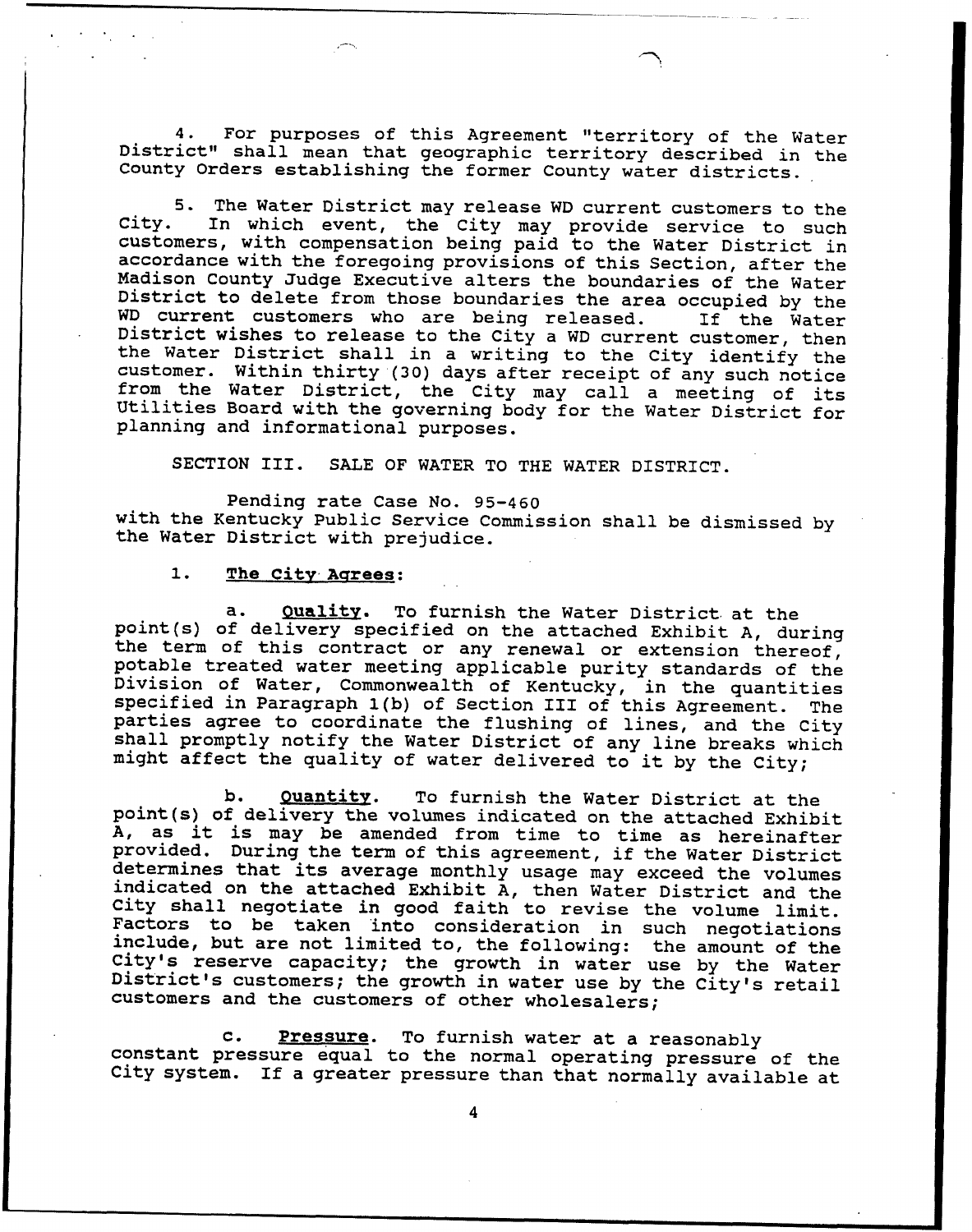4. For purposes of this Agreement "territory of the Water District" shall mean that geographic territory described in the County Orders establishing the former County water districts.

5. The Water District may release WD current customers to the City. In which event, the City may provide service to such accordance with the foregoing provisions of this Section, after the<br>Madison County Judge Executive alters the boundaries of the Water<br>District to delete from those boundaries the area occupied by the<br>WD current customers w District wishes to release to the City a WD current customer, then<br>the Water District shall in a writing to the City identify the<br>customer. Within thirty (30) days after receipt of any such notice from the Water District, the City may call a meeting of its<br>Utilities Board with the governing body for the Water District for<br>planning and informational purposes.

SECTION III. SALE OF WATER TO THE WATER DISTRICT.

Pending rate Case No. 95-460 with the Kentucky Public Service Commission shall be dismissed by the Water District with prejudice.

#### 1. The City Agrees:

a. Quality. To furnish the Water District at the<br>point(s) of delivery specified on the attached Exhibit A, during<br>the term of this contract or any renewal or extension thereof,<br>potable treated water meeting applicable puri might affect the quality of water delivered to it by the City;

b. Quantity. To furnish the Water District at the point(s) of delivery the volumes indicated on the attached Exhibit A, as it is may be amended from time to time as hereinafter provided. During the term of this agreement, if the Water District<br>determines that its average monthly usage may exceed the volumes<br>indicated on the attached Exhibit A, then Water District and the<br>City shall negotiate in g customers and the customers of other wholesalers;

c. Pressure. To furnish water at a reasonably<br>constant pressure equal to the normal operating pressure of the<br>City system. If a greater pressure than that normally available at

4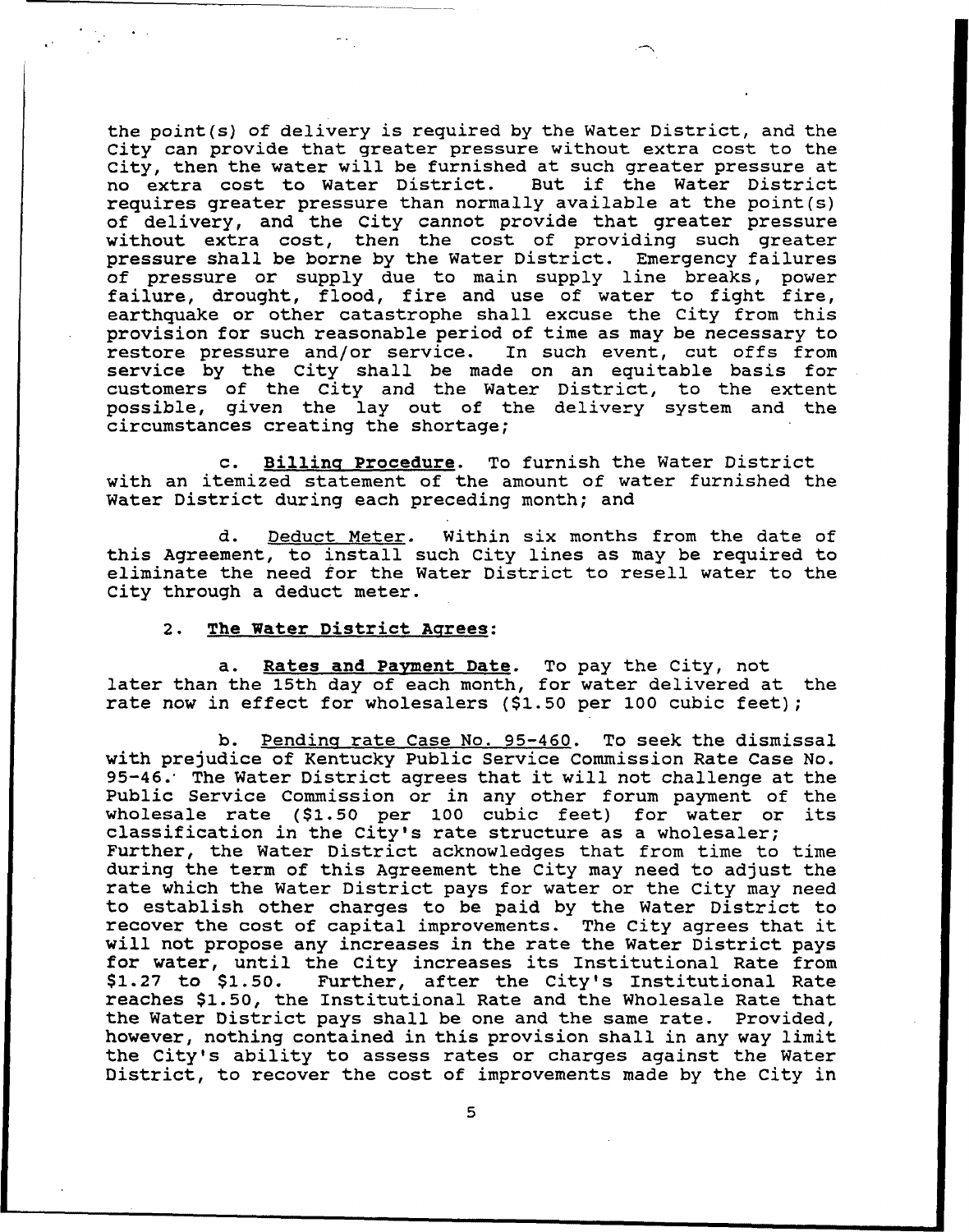the point(s) of delivery is required by the Water District, and the City can provide that greater pressure without extra cost to the City, then the water will be furnished at such greater pressure at<br>no extra cost to Water District. But if the Water District no extra cost to Water District. requires greater pressure than normally available at the point(s) of delivery, and the City cannot provide that greater pressur without extra cost, then the cost of providing such greate pressure shall be borne by the Water District. Emergency failures of pressure or supply due to main supply line breaks, power failure, drought, flood, fire and use of water to fight fire, earthquake or other catastrophe shall excuse the City from this provision for such reasonable period of time as may be necessary to restore pressure and/or service. In such event, cut offs from service by the City shall be made on an equitable basis for customers of the City and the Water District, to the extent possible, given the lay out of the delivery system and the circumstances creating the shortage;

c. Billing Procedure. To furnish the Water District with an itemized statement of the amount of water furnished the Water District during each preceding month; and

d. Deduct Meter. Within six months from the date of this Agreement, to install such City lines as may be required to eliminate the need for the Water District to resell water to the City through a deduct meter.

#### 2. The Water District Agrees:

a. Rates and Payment Date. To pay the City, not later than the 15th day of each month, for water delivered at the rate now in effect for wholesalers (\$1.50 per 100 cubic feet);

b. Pending rate Case No. 95-460. To seek the dismissal with prejudice of Kentucky Public Service Commission Rate Case No.<br>95-46.' The Water District agrees that it will not challenge at the Public Service Commission or in any other forum payment of the wholesale rate (\$1.50 per <sup>100</sup> cubic feet) for water or its classification in the City's rate structure as <sup>a</sup> wholesaler; Further, the Water District acknowledges that from time to time during the term of this Agreement the City may need to adjust the rate which the Water District pays for water or the City may need to establish other charges to be paid by the Water District to recover the cost of capital improvements. The City agrees that it will not propose any increases in the rate the Water District pays<br>for water, until the City increases its Institutional Rate from<br>\$1.27 to \$1.50. Further, after the City's Institutional Rate Further, after the City's Institutional Rate reaches \$1.50, the Institutional Rate and the Wholesale Rate that the Water District pays shall be one and the same rate. Provided, however, nothing contained in this provision shall in any way limit. the City's ability to assess rates or charges against the Water District, to recover the cost of improvements made by the City in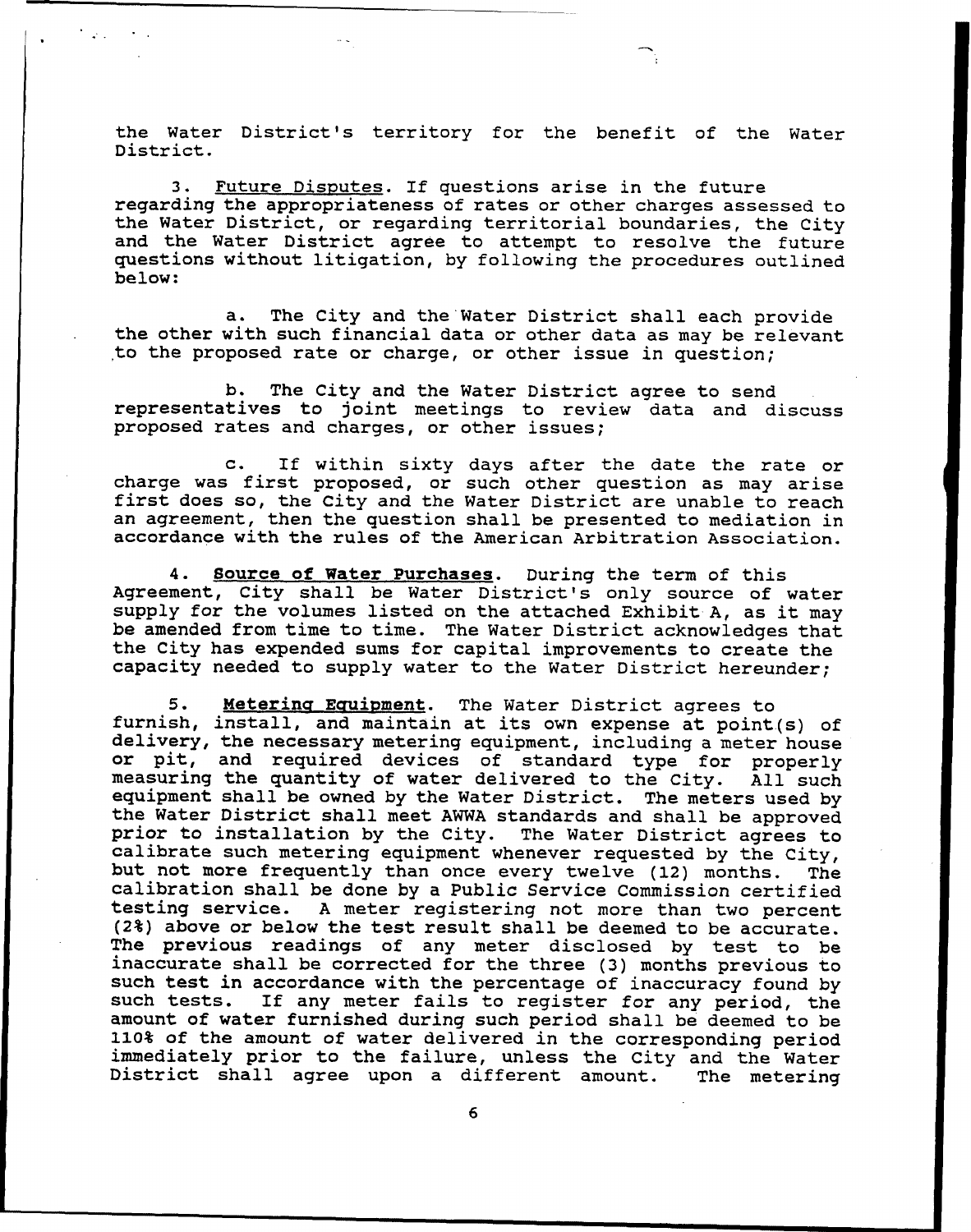the Water District's territory for the benefit of the Water District.

**Carl Corporation** 

3. Future Disputes. If questions arise in the future regarding the appropriateness of rates or other charges assessed. to the Water District, or regarding territorial boundaries, the City and the Water District agree to attempt to resolve the future questions vithout litigation, by folloving the procedures outlined below:

a. The City and the Water District shall each provide the other with such financial data or other data as may be relevant to the proposed rate or charge, or other issue in question;

b. The City and the Water District agree to send representatives to joint meetings to review data and discuss proposed rates and charges, or other issues;

c. If within sixty days after the date the rate or charge vas first proposed, or such other question as may axise first does so, the City and the Nater District are unable to reach an agreement, then the question shall be presented to mediation in accordance with the rules of the American Arbitration Association.

4. Source of Water Purchases. During the term of this Agreement, City shall be Water District's only source of water supply for the volumes listed on the attached Exhibit-A, as it may be amended from time to time. The Water District acknovledges that the City has expended sums for capital improvements to create the capacity needed to supply water to the Water District hereunder;

5. Metering Equipment. The Water District agrees to furnish, install, and maintain at its own expense at point(s) of delivery, the necessaxy metering equipment, including <sup>a</sup> meter house or pit, and required devices of standard type for properly measuring the quantity of water delivered to the City. All such measuring the quantity of water delivered to the City. equipment shall be owned by the Water District. The meters used by<br>the Water District shall meet AWWA standards and shall be approved<br>prior to installation by the City. The Water District agrees to<br>calibrate such metering calibration shall be done by a Public Service Commission certified<br>testing service. A meter registering not more than two percent A meter registering not more than two percent (24) above or belov the test result shall be deemed to be accurate. The previous readings of any meter disclosed by test to be inaccurate shall be corrected for the three (3) months previous to such test in accordance with the percentage of inaccuracy found by such tests. If any meter fails to register for any period, the amount of water furnished during such period shall be deemed to be 110% of the amount of water delivered in the corresponding period immediately prior to the failure, unless the City and the Water District shall agree upon <sup>a</sup> different amount. The metering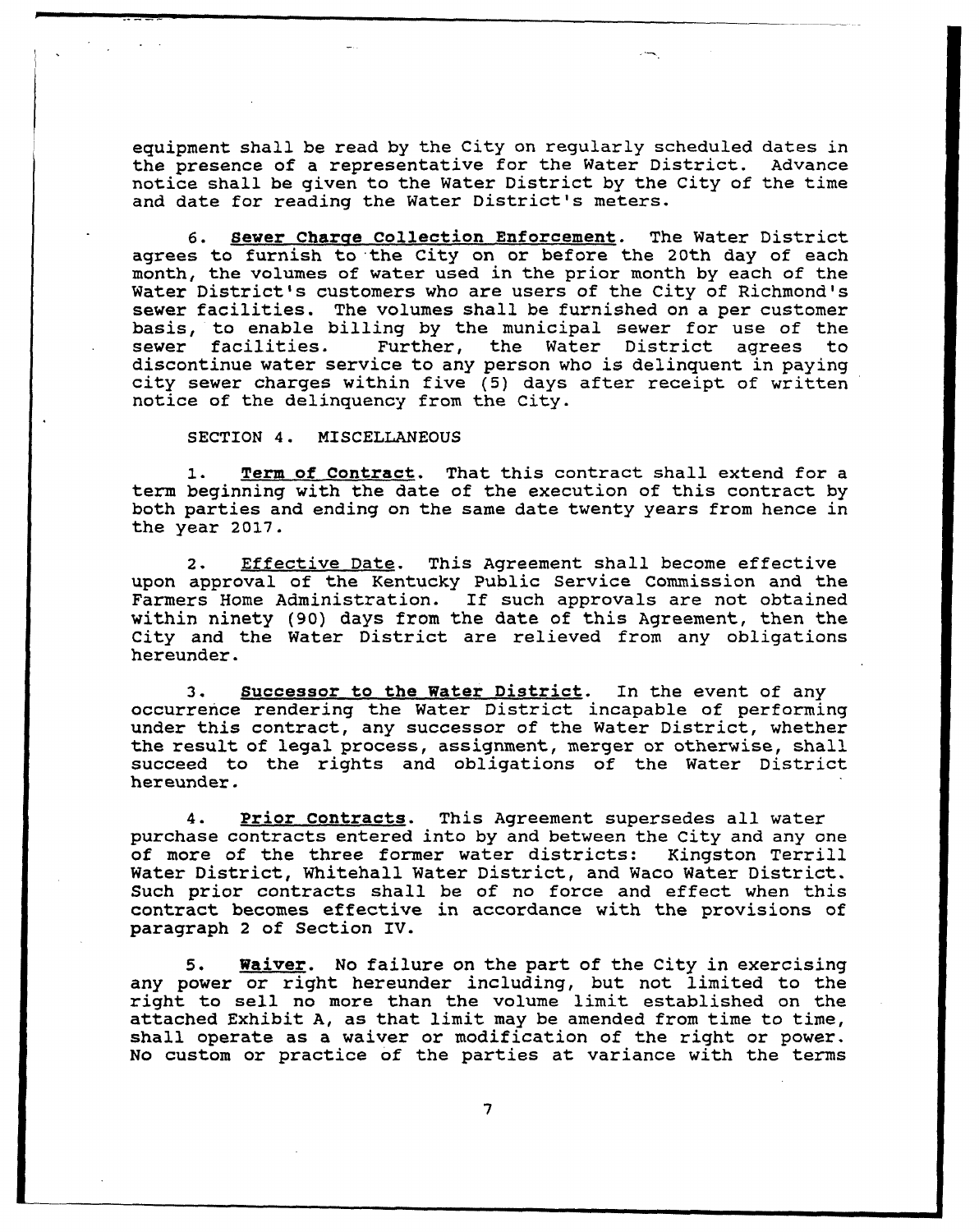equipment shall be read by the City on regularly scheduled dates in the presence of a representative for the Water District. Advance notice shall be given to the Water District by the City of the time and date for reading the Nater District's meters.

6. Sewer Charqe Collection Enforcement. The Water District agrees to furnish to the City on or before the 20th day of each month, the volumes of water used in the prior month by each of the Water District's customers who are users of the City of Richmond's sewer facilities. The volumes shall be furnished on <sup>a</sup> per customer basis, to enable billing by the municipal sewer for use of the sewer facilities. Further, the Water District agrees to Further, the Water District agrees to discontinue water service to any person who is delinquent in paying city sewer charges within five (5) days after receipt of written notice of the delinquency from the City.

#### SECTION 4. MISCELLANEOUS

1. Term of Contract. That this contract shall extend for <sup>a</sup> term beginning with the date of the execution of this contract by both parties and ending on the same date twenty years from hence in the year 2017.

2. Effective Date. This Agreement shall become effective upon approval of the Kentucky Public Service Commission and the Farmers Home Administration. If such approvals are not obtained within ninety (90) days from the date of this Agreement, then the City and the Water District are relieved from any obligations hereunder.

3. Successor to the Water District. In the event of any occurrence rendering the Water District incapable of performing under this contract, any successor of the Mater District, whether the result of legal process, assignment, merger or otherwise, shall succeed to the rights and obligations of the Water District hereunder.

4. Prior Contracts. This Agreement supersedes all water purchase contracts entered into by and between the City and any one of more of the three former water districts: Kingston Terrill of more of the three former water districts: Water District, Whitehall Water District, and Waco Water District. Such prior contracts shall be of no force and effect when this contract becomes effective in accordance with the provisions of paragraph <sup>2</sup> of Section IV.

5. Whaiver. No failure on the part of the City in exercising any power or right hereunder including, but not limited to the right to sell no more than the volume limit established on the attached Exhibit A, as that limit may be amended from time to time, shall operate as a waiver or modification of the right or power. No custom or practice of the parties at variance with the terms

7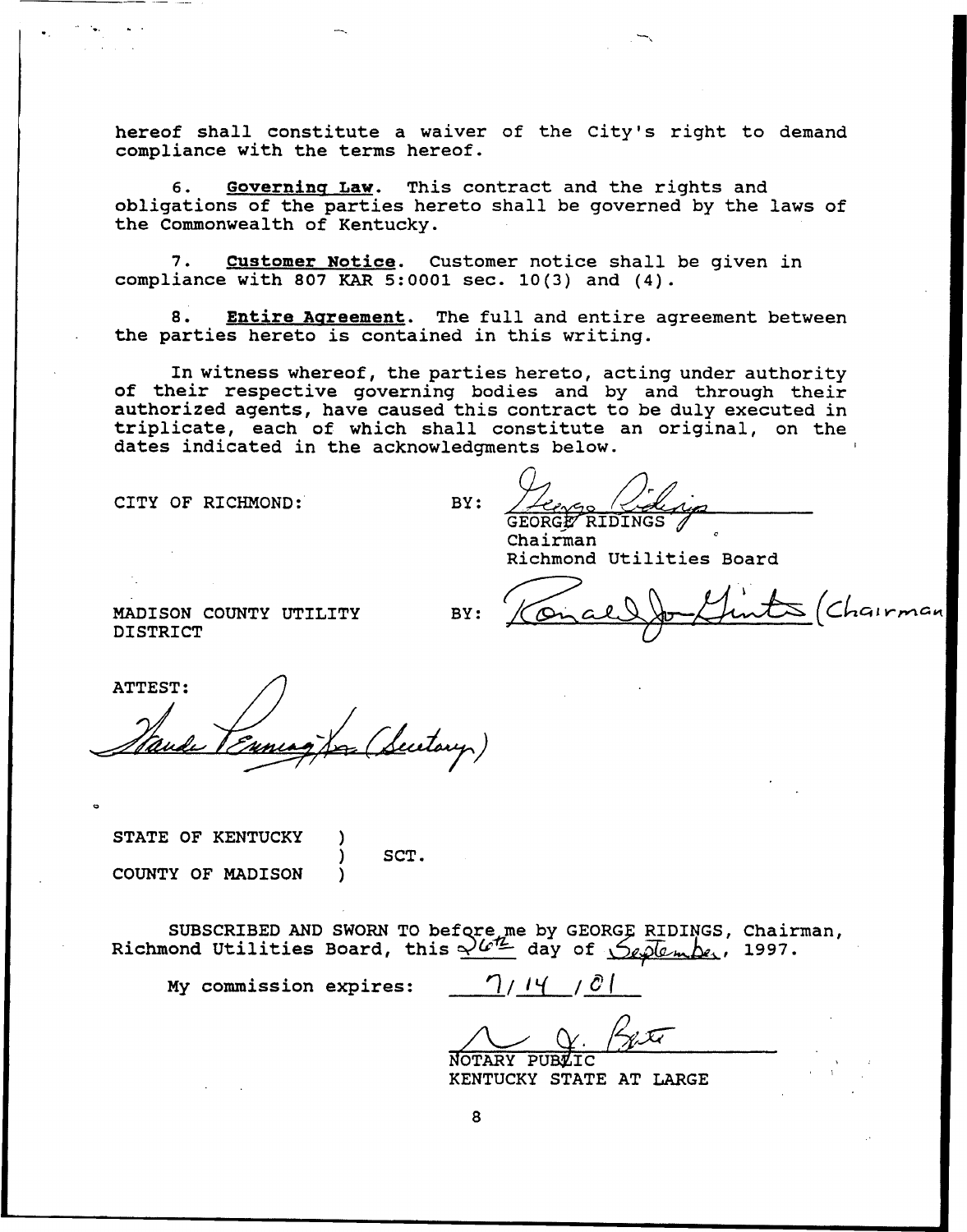hereof shall constitute a waiver of the City's right to demand compliance with the terms hereof.

6. Governing Law. This contract and the rights and obligations of the parties hereto shall be governed by the laws of the Commonwealth of Kentucky.

7. Customer Notice. Customer notice shall be given in compliance with 807 KAR 5:0001 sec. 10(3) and (4).

8. Entire Agreement. The full and entire agreement between the parties hereto is contained in this writing.

In witness whereof, the parties hereto, acting under authority of their respective governing bodies and by and through their authorized agents, have caused this contract to be duly executed in triplicate, each of which shall constitute an original, on the dates indicated in the acknowledgments below.

CITY OF RICHMOND:

 $BY:$ GEORGE RIDINGS

Chairman Richmond Utilities Board  $BY:$   $\sqrt{\alpha}$ 

 $\mathcal{L}\mathcal{S}$  (Chairman

MADISON COUNTY UTILITY DISTRICT

ATTEST: (Sectory)

STATE OF KENTUCKY ) SCT. COUNTY OF MADISON

SUBSCRIBED AND SWORN TO before me by GEORGE RIDINGS, Chairman<br>Richmond Utilities Board, this  $\frac{\sqrt{aL}}{2}$  day of  $\frac{C}{\sqrt{aL}}$ , 1997.

My commission expires:  $\bigcap / | \bigcup | \bigcup$ 

NOTARY PUBLIC BLUE

KENTUCKY STATE AT LARGE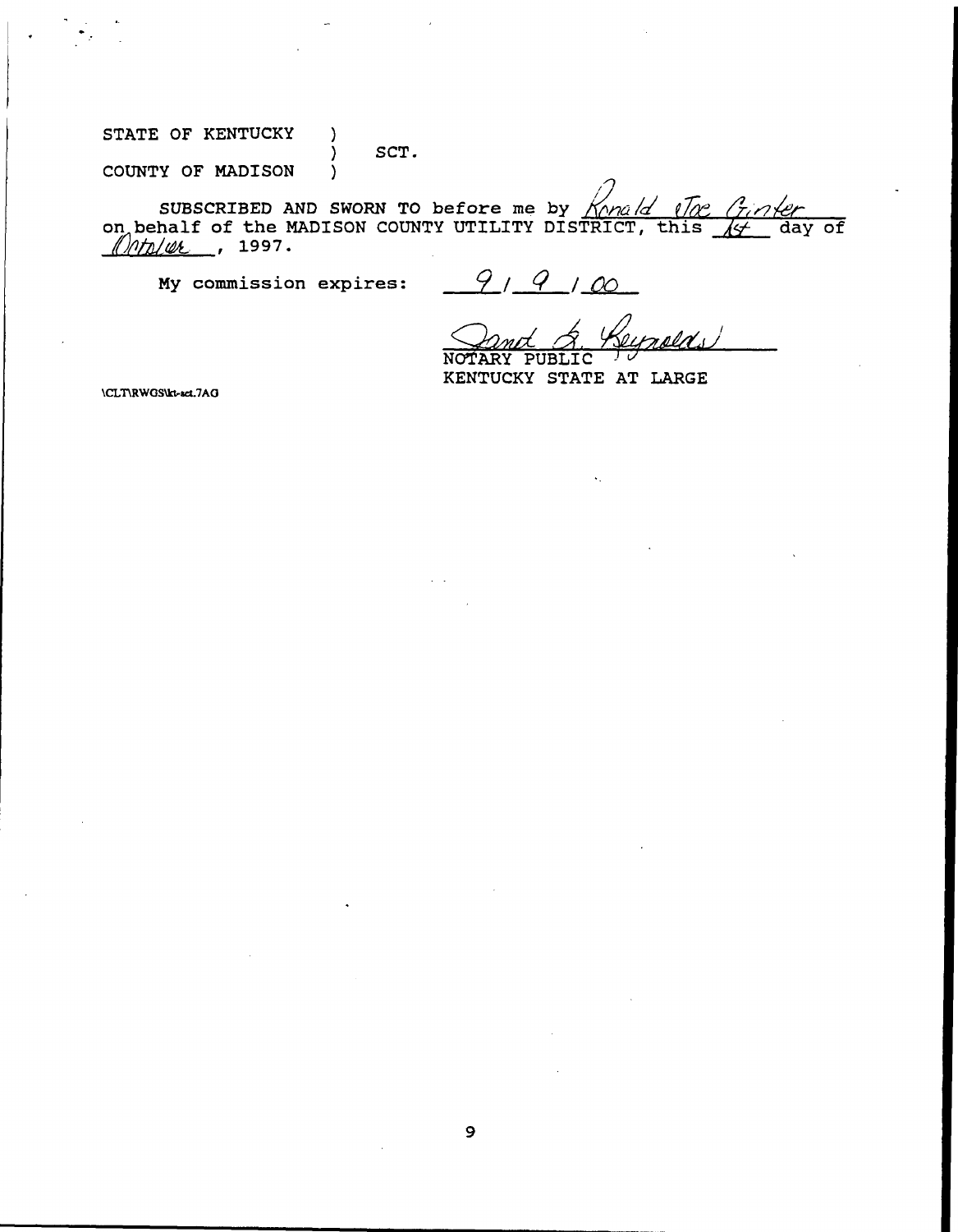STATE OF KENTUCKY )

 $\Big\}$  SCT.

COUNTY OF MADISON )

SUBSCRIBED AND SWORN TO before me by  $\sqrt{m}$ dd eloc Ginter on behalf of the MADISON COUNTY UTILITY DISTRICT, this  $\frac{1}{10}$  day of  $\frac{1}{10}$ /*th*/*u*k, 1997.

My commission expires:

 $9, 9, 00$ 

rolds NOTARY

KENTUCKY STATE AT LARGE

\CLT\RWGS\kt-set.7AG